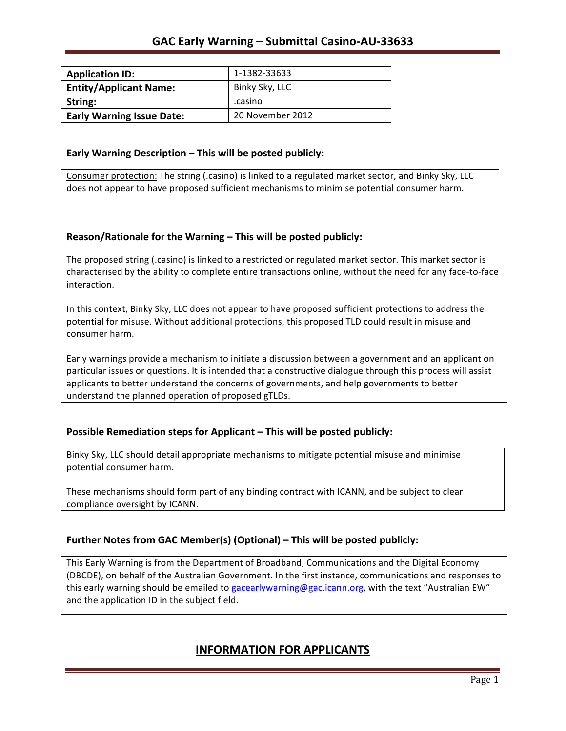| <b>Application ID:</b>           | 1-1382-33633     |
|----------------------------------|------------------|
| <b>Entity/Applicant Name:</b>    | Binky Sky, LLC   |
| String:                          | .casino          |
| <b>Early Warning Issue Date:</b> | 20 November 2012 |

### **Early Warning Description – This will be posted publicly:**

Consumer protection: The string (.casino) is linked to a regulated market sector, and Binky Sky, LLC does not appear to have proposed sufficient mechanisms to minimise potential consumer harm.

## **Reason/Rationale for the Warning – This will be posted publicly:**

The proposed string (.casino) is linked to a restricted or regulated market sector. This market sector is characterised by the ability to complete entire transactions online, without the need for any face-to-face interaction.

In this context, Binky Sky, LLC does not appear to have proposed sufficient protections to address the potential for misuse. Without additional protections, this proposed TLD could result in misuse and consumer harm.

Early warnings provide a mechanism to initiate a discussion between a government and an applicant on particular issues or questions. It is intended that a constructive dialogue through this process will assist applicants to better understand the concerns of governments, and help governments to better understand the planned operation of proposed gTLDs.

## **Possible Remediation steps for Applicant – This will be posted publicly:**

Binky Sky, LLC should detail appropriate mechanisms to mitigate potential misuse and minimise potential consumer harm.

These mechanisms should form part of any binding contract with ICANN, and be subject to clear compliance oversight by ICANN.

## **Further Notes from GAC Member(s) (Optional)** – This will be posted publicly:

This Early Warning is from the Department of Broadband, Communications and the Digital Economy (DBCDE), on behalf of the Australian Government. In the first instance, communications and responses to this early warning should be emailed to gacearlywarning@gac.icann.org, with the text "Australian EW" and the application ID in the subject field.

# **INFORMATION FOR APPLICANTS**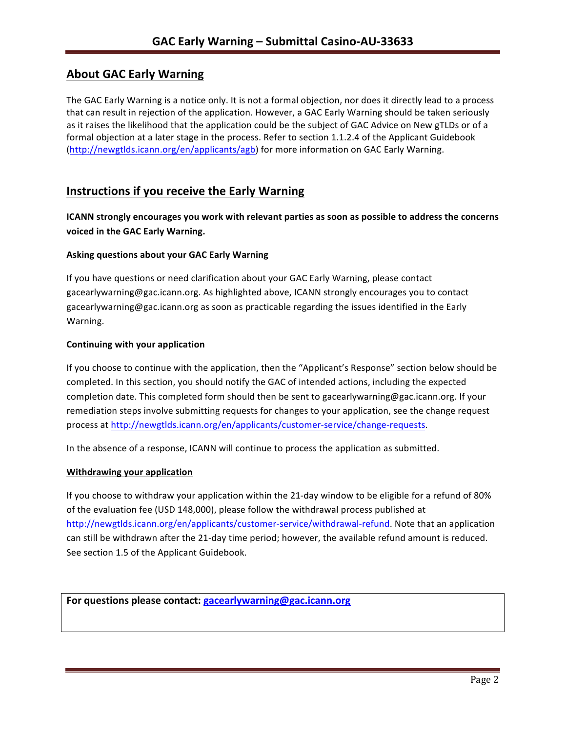# **About GAC Early Warning**

The GAC Early Warning is a notice only. It is not a formal objection, nor does it directly lead to a process that can result in rejection of the application. However, a GAC Early Warning should be taken seriously as it raises the likelihood that the application could be the subject of GAC Advice on New gTLDs or of a formal objection at a later stage in the process. Refer to section 1.1.2.4 of the Applicant Guidebook (http://newgtlds.icann.org/en/applicants/agb) for more information on GAC Early Warning.

## **Instructions if you receive the Early Warning**

**ICANN** strongly encourages you work with relevant parties as soon as possible to address the concerns **voiced in the GAC Early Warning.** 

### **Asking questions about your GAC Early Warning**

If you have questions or need clarification about your GAC Early Warning, please contact gacearlywarning@gac.icann.org. As highlighted above, ICANN strongly encourages you to contact gacearlywarning@gac.icann.org as soon as practicable regarding the issues identified in the Early Warning. 

#### **Continuing with your application**

If you choose to continue with the application, then the "Applicant's Response" section below should be completed. In this section, you should notify the GAC of intended actions, including the expected completion date. This completed form should then be sent to gacearlywarning@gac.icann.org. If your remediation steps involve submitting requests for changes to your application, see the change request process at http://newgtlds.icann.org/en/applicants/customer-service/change-requests.

In the absence of a response, ICANN will continue to process the application as submitted.

#### **Withdrawing your application**

If you choose to withdraw your application within the 21-day window to be eligible for a refund of 80% of the evaluation fee (USD 148,000), please follow the withdrawal process published at http://newgtlds.icann.org/en/applicants/customer-service/withdrawal-refund. Note that an application can still be withdrawn after the 21-day time period; however, the available refund amount is reduced. See section 1.5 of the Applicant Guidebook.

For questions please contact: gacearlywarning@gac.icann.org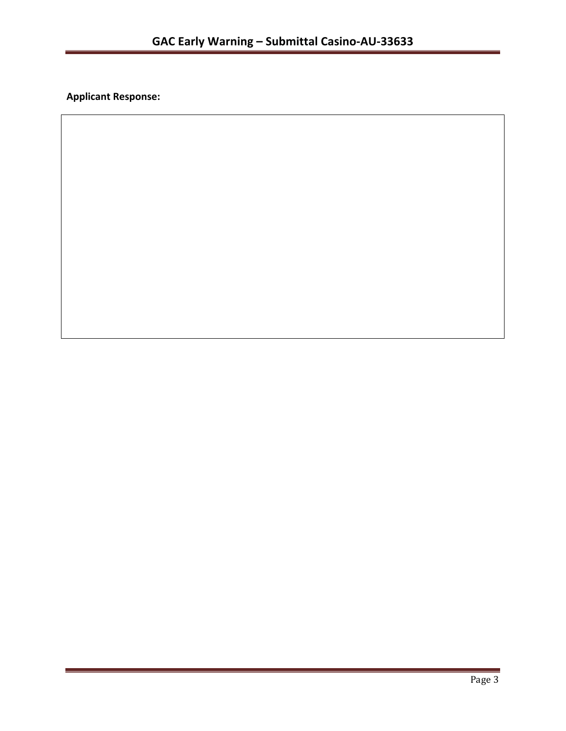**Applicant Response:**